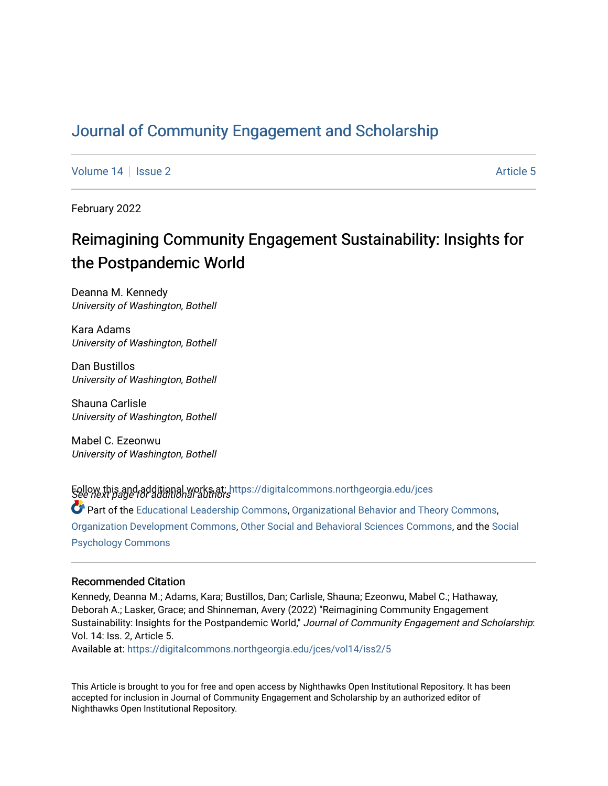## [Journal of Community Engagement and Scholarship](https://digitalcommons.northgeorgia.edu/jces)

[Volume 14](https://digitalcommons.northgeorgia.edu/jces/vol14) Suitsue 2 Article 5

February 2022

# Reimagining Community Engagement Sustainability: Insights for the Postpandemic World

Deanna M. Kennedy University of Washington, Bothell

Kara Adams University of Washington, Bothell

Dan Bustillos University of Washington, Bothell

Shauna Carlisle University of Washington, Bothell

Mabel C. Ezeonwu University of Washington, Bothell

Follow this and additional works at: [https://digitalcommons.northgeorgia.edu/jces](https://digitalcommons.northgeorgia.edu/jces?utm_source=digitalcommons.northgeorgia.edu%2Fjces%2Fvol14%2Fiss2%2F5&utm_medium=PDF&utm_campaign=PDFCoverPages)<br>See next page for additional authors

Part of the [Educational Leadership Commons,](http://network.bepress.com/hgg/discipline/1230?utm_source=digitalcommons.northgeorgia.edu%2Fjces%2Fvol14%2Fiss2%2F5&utm_medium=PDF&utm_campaign=PDFCoverPages) [Organizational Behavior and Theory Commons](http://network.bepress.com/hgg/discipline/639?utm_source=digitalcommons.northgeorgia.edu%2Fjces%2Fvol14%2Fiss2%2F5&utm_medium=PDF&utm_campaign=PDFCoverPages), [Organization Development Commons,](http://network.bepress.com/hgg/discipline/1242?utm_source=digitalcommons.northgeorgia.edu%2Fjces%2Fvol14%2Fiss2%2F5&utm_medium=PDF&utm_campaign=PDFCoverPages) [Other Social and Behavioral Sciences Commons,](http://network.bepress.com/hgg/discipline/437?utm_source=digitalcommons.northgeorgia.edu%2Fjces%2Fvol14%2Fiss2%2F5&utm_medium=PDF&utm_campaign=PDFCoverPages) and the [Social](http://network.bepress.com/hgg/discipline/414?utm_source=digitalcommons.northgeorgia.edu%2Fjces%2Fvol14%2Fiss2%2F5&utm_medium=PDF&utm_campaign=PDFCoverPages)  [Psychology Commons](http://network.bepress.com/hgg/discipline/414?utm_source=digitalcommons.northgeorgia.edu%2Fjces%2Fvol14%2Fiss2%2F5&utm_medium=PDF&utm_campaign=PDFCoverPages) 

## Recommended Citation

Kennedy, Deanna M.; Adams, Kara; Bustillos, Dan; Carlisle, Shauna; Ezeonwu, Mabel C.; Hathaway, Deborah A.; Lasker, Grace; and Shinneman, Avery (2022) "Reimagining Community Engagement Sustainability: Insights for the Postpandemic World," Journal of Community Engagement and Scholarship: Vol. 14: Iss. 2, Article 5.

Available at: [https://digitalcommons.northgeorgia.edu/jces/vol14/iss2/5](https://digitalcommons.northgeorgia.edu/jces/vol14/iss2/5?utm_source=digitalcommons.northgeorgia.edu%2Fjces%2Fvol14%2Fiss2%2F5&utm_medium=PDF&utm_campaign=PDFCoverPages) 

This Article is brought to you for free and open access by Nighthawks Open Institutional Repository. It has been accepted for inclusion in Journal of Community Engagement and Scholarship by an authorized editor of Nighthawks Open Institutional Repository.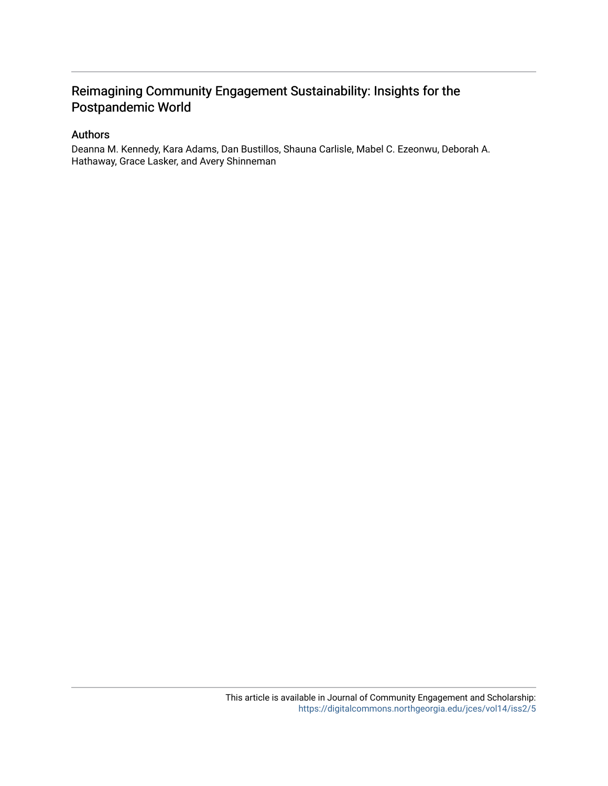## Reimagining Community Engagement Sustainability: Insights for the Postpandemic World

## Authors

Deanna M. Kennedy, Kara Adams, Dan Bustillos, Shauna Carlisle, Mabel C. Ezeonwu, Deborah A. Hathaway, Grace Lasker, and Avery Shinneman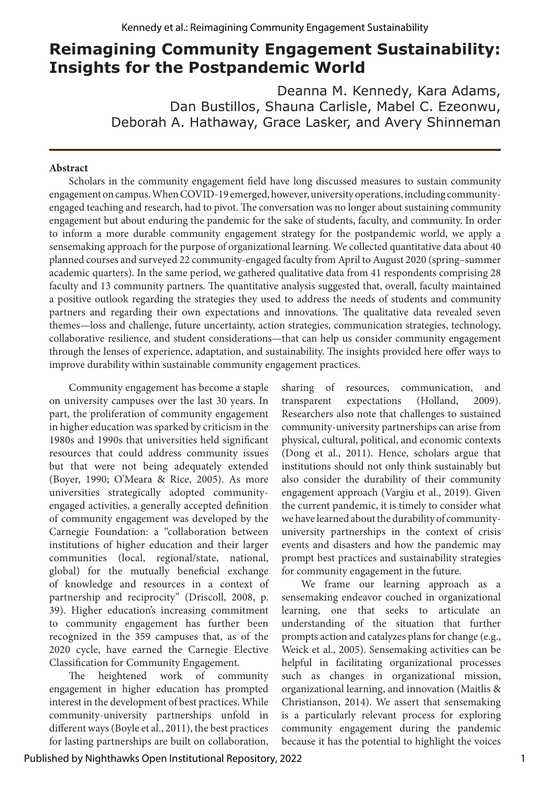## **Reimagining Community Engagement Sustainability: Insights for the Postpandemic World**

Deanna M. Kennedy, Kara Adams, Dan Bustillos, Shauna Carlisle, Mabel C. Ezeonwu, Deborah A. Hathaway, Grace Lasker, and Avery Shinneman

#### **Abstract**

Scholars in the community engagement field have long discussed measures to sustain community engagement on campus. When COVID-19 emerged, however, university operations, including communityengaged teaching and research, had to pivot. The conversation was no longer about sustaining community engagement but about enduring the pandemic for the sake of students, faculty, and community. In order to inform a more durable community engagement strategy for the postpandemic world, we apply a sensemaking approach for the purpose of organizational learning. We collected quantitative data about 40 planned courses and surveyed 22 community-engaged faculty from April to August 2020 (spring–summer academic quarters). In the same period, we gathered qualitative data from 41 respondents comprising 28 faculty and 13 community partners. The quantitative analysis suggested that, overall, faculty maintained a positive outlook regarding the strategies they used to address the needs of students and community partners and regarding their own expectations and innovations. The qualitative data revealed seven themes—loss and challenge, future uncertainty, action strategies, communication strategies, technology, collaborative resilience, and student considerations—that can help us consider community engagement through the lenses of experience, adaptation, and sustainability. The insights provided here offer ways to improve durability within sustainable community engagement practices.

Community engagement has become a staple on university campuses over the last 30 years. In part, the proliferation of community engagement in higher education was sparked by criticism in the 1980s and 1990s that universities held significant resources that could address community issues but that were not being adequately extended (Boyer, 1990; O'Meara & Rice, 2005). As more universities strategically adopted communityengaged activities, a generally accepted definition of community engagement was developed by the Carnegie Foundation: a "collaboration between institutions of higher education and their larger communities (local, regional/state, national, global) for the mutually beneficial exchange of knowledge and resources in a context of partnership and reciprocity" (Driscoll, 2008, p. 39). Higher education's increasing commitment to community engagement has further been recognized in the 359 campuses that, as of the 2020 cycle, have earned the Carnegie Elective Classification for Community Engagement.

The heightened work of community engagement in higher education has prompted interest in the development of best practices. While community-university partnerships unfold in different ways (Boyle et al., 2011), the best practices for lasting partnerships are built on collaboration,

sharing of resources, communication, and transparent expectations (Holland, 2009). Researchers also note that challenges to sustained community-university partnerships can arise from physical, cultural, political, and economic contexts (Dong et al., 2011). Hence, scholars argue that institutions should not only think sustainably but also consider the durability of their community engagement approach (Vargiu et al., 2019). Given the current pandemic, it is timely to consider what we have learned about the durability of communityuniversity partnerships in the context of crisis events and disasters and how the pandemic may prompt best practices and sustainability strategies for community engagement in the future.

We frame our learning approach as a sensemaking endeavor couched in organizational learning, one that seeks to articulate an understanding of the situation that further prompts action and catalyzes plans for change (e.g., Weick et al., 2005). Sensemaking activities can be helpful in facilitating organizational processes such as changes in organizational mission, organizational learning, and innovation (Maitlis & Christianson, 2014). We assert that sensemaking is a particularly relevant process for exploring community engagement during the pandemic because it has the potential to highlight the voices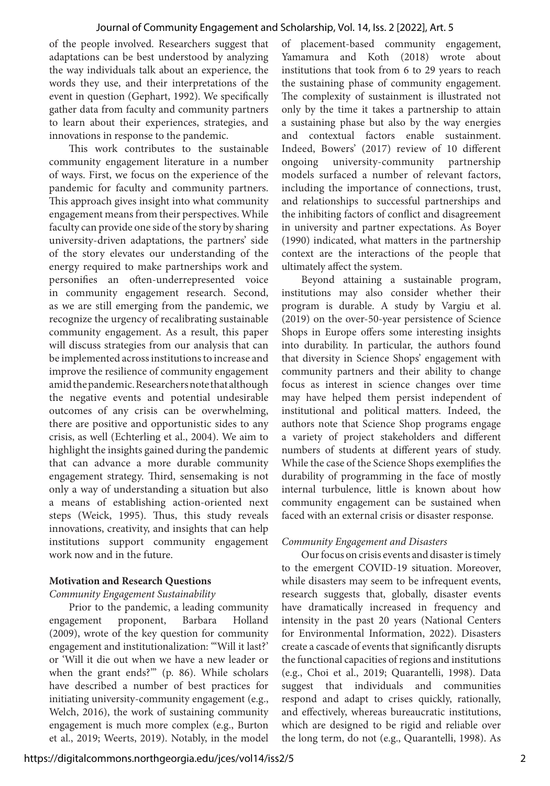of the people involved. Researchers suggest that adaptations can be best understood by analyzing the way individuals talk about an experience, the words they use, and their interpretations of the event in question (Gephart, 1992). We specifically gather data from faculty and community partners to learn about their experiences, strategies, and innovations in response to the pandemic.

This work contributes to the sustainable community engagement literature in a number of ways. First, we focus on the experience of the pandemic for faculty and community partners. This approach gives insight into what community engagement means from their perspectives. While faculty can provide one side of the story by sharing university-driven adaptations, the partners' side of the story elevates our understanding of the energy required to make partnerships work and personifies an often-underrepresented voice in community engagement research. Second, as we are still emerging from the pandemic, we recognize the urgency of recalibrating sustainable community engagement. As a result, this paper will discuss strategies from our analysis that can be implemented across institutions to increase and improve the resilience of community engagement amid the pandemic. Researchers note that although the negative events and potential undesirable outcomes of any crisis can be overwhelming, there are positive and opportunistic sides to any crisis, as well (Echterling et al., 2004). We aim to highlight the insights gained during the pandemic that can advance a more durable community engagement strategy. Third, sensemaking is not only a way of understanding a situation but also a means of establishing action-oriented next steps (Weick, 1995). Thus, this study reveals innovations, creativity, and insights that can help institutions support community engagement work now and in the future.

## **Motivation and Research Questions**

#### *Community Engagement Sustainability*

Prior to the pandemic, a leading community engagement proponent, Barbara Holland (2009), wrote of the key question for community engagement and institutionalization: "'Will it last?' or 'Will it die out when we have a new leader or when the grant ends?'" (p. 86). While scholars have described a number of best practices for initiating university-community engagement (e.g., Welch, 2016), the work of sustaining community engagement is much more complex (e.g., Burton et al., 2019; Weerts, 2019). Notably, in the model of placement-based community engagement, Yamamura and Koth (2018) wrote about institutions that took from 6 to 29 years to reach the sustaining phase of community engagement. The complexity of sustainment is illustrated not only by the time it takes a partnership to attain a sustaining phase but also by the way energies and contextual factors enable sustainment. Indeed, Bowers' (2017) review of 10 different ongoing university-community partnership models surfaced a number of relevant factors, including the importance of connections, trust, and relationships to successful partnerships and the inhibiting factors of conflict and disagreement in university and partner expectations. As Boyer (1990) indicated, what matters in the partnership context are the interactions of the people that ultimately affect the system.

Beyond attaining a sustainable program, institutions may also consider whether their program is durable. A study by Vargiu et al. (2019) on the over-50-year persistence of Science Shops in Europe offers some interesting insights into durability. In particular, the authors found that diversity in Science Shops' engagement with community partners and their ability to change focus as interest in science changes over time may have helped them persist independent of institutional and political matters. Indeed, the authors note that Science Shop programs engage a variety of project stakeholders and different numbers of students at different years of study. While the case of the Science Shops exemplifies the durability of programming in the face of mostly internal turbulence, little is known about how community engagement can be sustained when faced with an external crisis or disaster response.

## *Community Engagement and Disasters*

Our focus on crisis events and disaster is timely to the emergent COVID-19 situation. Moreover, while disasters may seem to be infrequent events, research suggests that, globally, disaster events have dramatically increased in frequency and intensity in the past 20 years (National Centers for Environmental Information, 2022). Disasters create a cascade of events that significantly disrupts the functional capacities of regions and institutions (e.g., Choi et al., 2019; Quarantelli, 1998). Data suggest that individuals and communities respond and adapt to crises quickly, rationally, and effectively, whereas bureaucratic institutions, which are designed to be rigid and reliable over the long term, do not (e.g., Quarantelli, 1998). As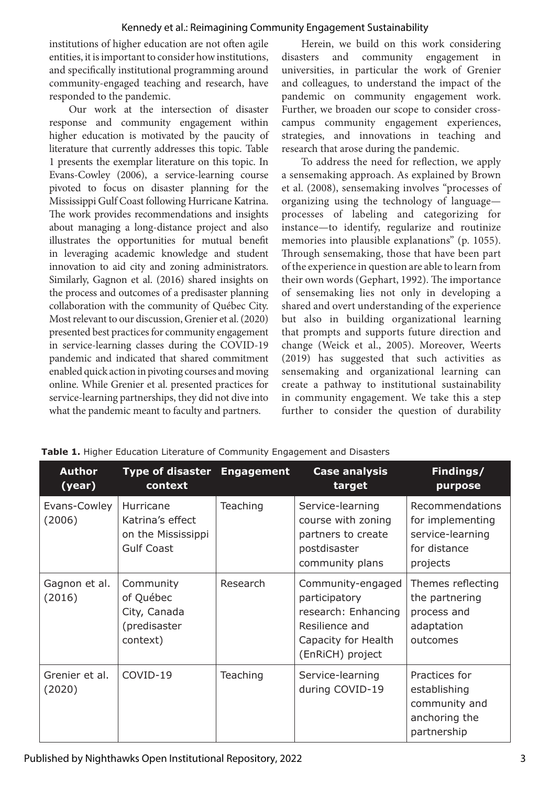institutions of higher education are not often agile entities, it is important to consider how institutions, and specifically institutional programming around community-engaged teaching and research, have responded to the pandemic.

Our work at the intersection of disaster response and community engagement within higher education is motivated by the paucity of literature that currently addresses this topic. Table 1 presents the exemplar literature on this topic. In Evans-Cowley (2006), a service-learning course pivoted to focus on disaster planning for the Mississippi Gulf Coast following Hurricane Katrina. The work provides recommendations and insights about managing a long-distance project and also illustrates the opportunities for mutual benefit in leveraging academic knowledge and student innovation to aid city and zoning administrators. Similarly, Gagnon et al. (2016) shared insights on the process and outcomes of a predisaster planning collaboration with the community of Québec City. Most relevant to our discussion, Grenier et al. (2020) presented best practices for community engagement in service-learning classes during the COVID-19 pandemic and indicated that shared commitment enabled quick action in pivoting courses and moving online. While Grenier et al. presented practices for service-learning partnerships, they did not dive into what the pandemic meant to faculty and partners.

Herein, we build on this work considering disasters and community engagement in universities, in particular the work of Grenier and colleagues, to understand the impact of the pandemic on community engagement work. Further, we broaden our scope to consider crosscampus community engagement experiences, strategies, and innovations in teaching and research that arose during the pandemic.

To address the need for reflection, we apply a sensemaking approach. As explained by Brown et al. (2008), sensemaking involves "processes of organizing using the technology of language processes of labeling and categorizing for instance—to identify, regularize and routinize memories into plausible explanations" (p. 1055). Through sensemaking, those that have been part of the experience in question are able to learn from their own words (Gephart, 1992). The importance of sensemaking lies not only in developing a shared and overt understanding of the experience but also in building organizational learning that prompts and supports future direction and change (Weick et al., 2005). Moreover, Weerts (2019) has suggested that such activities as sensemaking and organizational learning can create a pathway to institutional sustainability in community engagement. We take this a step further to consider the question of durability

| <b>Author</b><br>(year)  | Type of disaster Engagement<br>context                                   |          | <b>Case analysis</b><br>target                                                                                         | Findings/<br>purpose                                                                |
|--------------------------|--------------------------------------------------------------------------|----------|------------------------------------------------------------------------------------------------------------------------|-------------------------------------------------------------------------------------|
| Evans-Cowley<br>(2006)   | Hurricane<br>Katrina's effect<br>on the Mississippi<br><b>Gulf Coast</b> | Teaching | Service-learning<br>course with zoning<br>partners to create<br>postdisaster<br>community plans                        | Recommendations<br>for implementing<br>service-learning<br>for distance<br>projects |
| Gagnon et al.<br>(2016)  | Community<br>of Québec<br>City, Canada<br>(predisaster<br>context)       | Research | Community-engaged<br>participatory<br>research: Enhancing<br>Resilience and<br>Capacity for Health<br>(EnRiCH) project | Themes reflecting<br>the partnering<br>process and<br>adaptation<br>outcomes        |
| Grenier et al.<br>(2020) | COVID-19                                                                 | Teaching | Service-learning<br>during COVID-19                                                                                    | Practices for<br>establishing<br>community and<br>anchoring the<br>partnership      |

**Table 1.** Higher Education Literature of Community Engagement and Disasters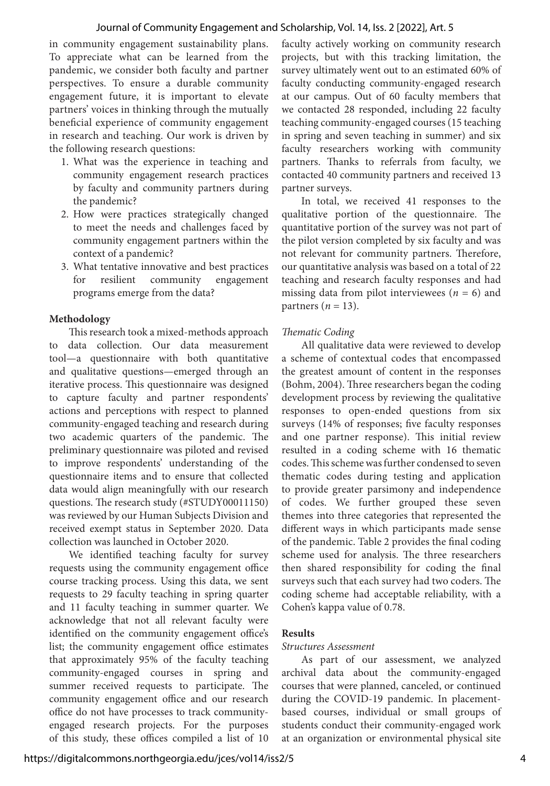in community engagement sustainability plans. To appreciate what can be learned from the pandemic, we consider both faculty and partner perspectives. To ensure a durable community engagement future, it is important to elevate partners' voices in thinking through the mutually beneficial experience of community engagement in research and teaching. Our work is driven by the following research questions:

- 1. What was the experience in teaching and community engagement research practices by faculty and community partners during the pandemic?
- 2. How were practices strategically changed to meet the needs and challenges faced by community engagement partners within the context of a pandemic?
- 3. What tentative innovative and best practices for resilient community engagement programs emerge from the data?

## **Methodology**

This research took a mixed-methods approach to data collection. Our data measurement tool—a questionnaire with both quantitative and qualitative questions—emerged through an iterative process. This questionnaire was designed to capture faculty and partner respondents' actions and perceptions with respect to planned community-engaged teaching and research during two academic quarters of the pandemic. The preliminary questionnaire was piloted and revised to improve respondents' understanding of the questionnaire items and to ensure that collected data would align meaningfully with our research questions. The research study (#STUDY00011150) was reviewed by our Human Subjects Division and received exempt status in September 2020. Data collection was launched in October 2020.

We identified teaching faculty for survey requests using the community engagement office course tracking process. Using this data, we sent requests to 29 faculty teaching in spring quarter and 11 faculty teaching in summer quarter. We acknowledge that not all relevant faculty were identified on the community engagement office's list; the community engagement office estimates that approximately 95% of the faculty teaching community-engaged courses in spring and summer received requests to participate. The community engagement office and our research office do not have processes to track communityengaged research projects. For the purposes of this study, these offices compiled a list of 10

faculty actively working on community research projects, but with this tracking limitation, the survey ultimately went out to an estimated 60% of faculty conducting community-engaged research at our campus. Out of 60 faculty members that we contacted 28 responded, including 22 faculty teaching community-engaged courses (15 teaching in spring and seven teaching in summer) and six faculty researchers working with community partners. Thanks to referrals from faculty, we contacted 40 community partners and received 13 partner surveys.

In total, we received 41 responses to the qualitative portion of the questionnaire. The quantitative portion of the survey was not part of the pilot version completed by six faculty and was not relevant for community partners. Therefore, our quantitative analysis was based on a total of 22 teaching and research faculty responses and had missing data from pilot interviewees (*n* = 6) and partners  $(n = 13)$ .

## *Thematic Coding*

All qualitative data were reviewed to develop a scheme of contextual codes that encompassed the greatest amount of content in the responses (Bohm, 2004). Three researchers began the coding development process by reviewing the qualitative responses to open-ended questions from six surveys (14% of responses; five faculty responses and one partner response). This initial review resulted in a coding scheme with 16 thematic codes. This scheme was further condensed to seven thematic codes during testing and application to provide greater parsimony and independence of codes. We further grouped these seven themes into three categories that represented the different ways in which participants made sense of the pandemic. Table 2 provides the final coding scheme used for analysis. The three researchers then shared responsibility for coding the final surveys such that each survey had two coders. The coding scheme had acceptable reliability, with a Cohen's kappa value of 0.78.

## **Results**

## *Structures Assessment*

As part of our assessment, we analyzed archival data about the community-engaged courses that were planned, canceled, or continued during the COVID-19 pandemic. In placementbased courses, individual or small groups of students conduct their community-engaged work at an organization or environmental physical site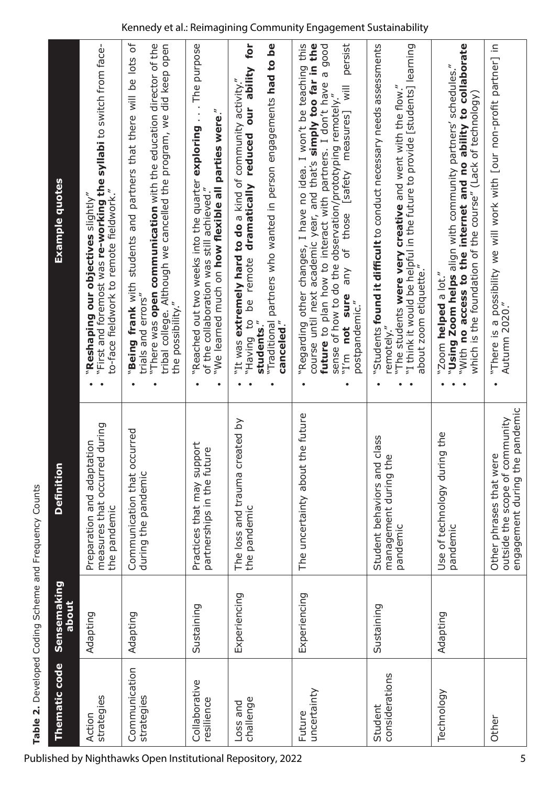"**Being frank** with students and partners that there will be lots of "There was open communication with the education director of the "There was **open communication** with the education director of the tribal college. Although we cancelled the program, we did keep open "Reached out two weeks into the quarter exploring . . . The purpose "Reached out two weeks into the quarter **exploring** . . . The purpose "Having to be remote **dramatically reduced our ability for**  "Traditional partners who wanted in person engagements **had to be**  Experiencing The uncertainty about the future • "Regarding other changes, I have no idea. I won't be teaching this course until next academic year, and that's **simply too far in the future** to plan how to interact with partners. I don't have a good "I'm **not sure** any of those [safety measures] will persist "Students **found it difficult** to conduct necessary needs assessments "I think it would be helpful in the future to provide [students] learning "With **no access to the internet and no ability to collaborate**  "There is a possibility we will work with [our non-profit partner] in "Being frank with students and partners that there will be lots of tribal college. Although we cancelled the program, we did keep open be remote dramatically reduced our ability for "Traditional partners who wanted in person engagements had to be "Regarding other changes, I have no idea. I won't be teaching this course until next academic year, and that's simply too far in the persist "Students found it difficult to conduct necessary needs assessments "I think it would be helpful in the future to provide [students] learning "With no access to the internet and no ability to collaborate "There is a possibility we will work with [our non-profit partner] in "First and foremost was re-working the syllabi to switch from facefuture to plan how to interact with partners. I don't have a good "First and foremost was **re-working the syllabi** to switch from face-"Using Zoom helps align with community partners' schedules." "**Using Zoom helps** align with community partners' schedules." "It was extremely hard to do a kind of community activity." "It was **extremely hard to do** a kind of community activity." "I'm not sure any of those [safety measures] will "The students **were very creative** and went with the flow." "The students were very creative and went with the flow." sense of how to do the observation/prototyping remotely." sense of how to do the observation/prototyping remotely." which is the foundation of the course" (Lack of technology) which is the foundation of the course" (Lack of technology) "We learned much on how flexible all parties were." "We learned much on **how flexible all parties were**." Example quotes **Definition Example quotes** of the collaboration was still achieved." to-face fieldwork to remote fieldwork." of the collaboration was still achieved." "**Reshaping our objectives** slightly" to-face fieldwork to remote fieldwork."  $\lq$ Reshaping our objectives  $\text{slight}'$ about zoom etiquette." about zoom etiquette." "Zoom helped a lot." "Zoom **helped** a lot." trials and errors" trials and errors" the possibility." postpandemic." Autumn 2020." postpandemic." the possibility." Autumn 2020." o<sub>1</sub> buiveH<sup>"</sup> students." canceled." **students**." **canceled**." remotely." remotely." ••• $\bullet$ ••••••••engagement during the pandemic engagement during the pandemic The uncertainty about the future outside the scope of community Experiencing The loss and trauma created by outside the scope of community The loss and trauma created by measures that occurred during measures that occurred during Adapting Communication that occurred Communication that occurred Use of technology during the Technology Adapting Use of technology during the Student behaviors and class Sustaining Student behaviors and class Adapting Preparation and adaptation Preparation and adaptation Sustaining Practices that may support Practices that may support partnerships in the future partnerships in the future Other Other phrases that were management during the management during the Other phrases that were Definition during the pandemic during the pandemic the pandemic the pandemic the pandemic the pandemic pandemic pandemic **Thematic code Sensemaking**  Sensemaking Experiencing Experiencing **about** Sustaining Sustaining Adapting Adapting Adapting Thematic code Communication Communication considerations considerations Collaborative Collaborative uncertainty uncertainty Technology strategies strategies resilience challenge strategies strategies resilience Loss and Loss and Student Student Future Action Other

## Kennedy et al.: Reimagining Community Engagement Sustainability

**Table 2.** Developed Coding Scheme and Frequency Counts

Table 2. Developed Coding Scheme and Frequency Counts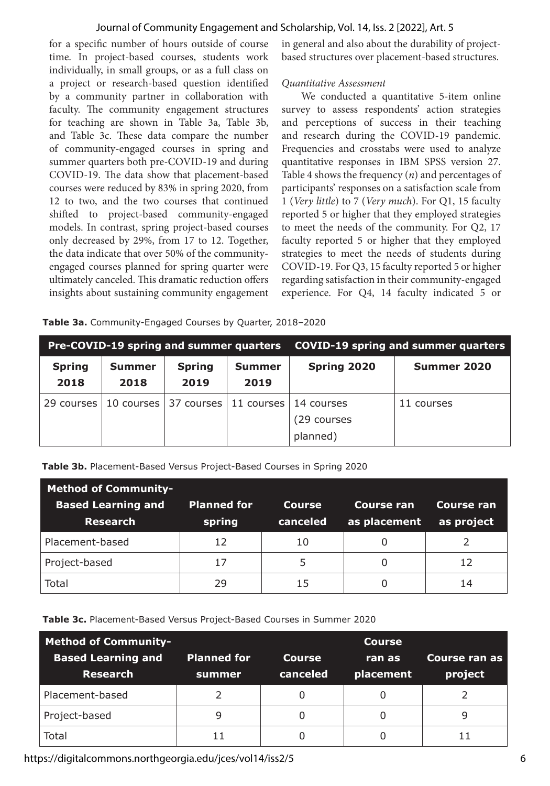for a specific number of hours outside of course time. In project-based courses, students work individually, in small groups, or as a full class on a project or research-based question identified by a community partner in collaboration with faculty. The community engagement structures for teaching are shown in Table 3a, Table 3b, and Table 3c. These data compare the number of community-engaged courses in spring and summer quarters both pre-COVID-19 and during COVID-19. The data show that placement-based courses were reduced by 83% in spring 2020, from 12 to two, and the two courses that continued shifted to project-based community-engaged models. In contrast, spring project-based courses only decreased by 29%, from 17 to 12. Together, the data indicate that over 50% of the communityengaged courses planned for spring quarter were ultimately canceled. This dramatic reduction offers insights about sustaining community engagement in general and also about the durability of projectbased structures over placement-based structures.

## *Quantitative Assessment*

We conducted a quantitative 5-item online survey to assess respondents' action strategies and perceptions of success in their teaching and research during the COVID-19 pandemic. Frequencies and crosstabs were used to analyze quantitative responses in IBM SPSS version 27. Table 4 shows the frequency (*n*) and percentages of participants' responses on a satisfaction scale from 1 (*Very little*) to 7 (*Very much*). For Q1, 15 faculty reported 5 or higher that they employed strategies to meet the needs of the community. For Q2, 17 faculty reported 5 or higher that they employed strategies to meet the needs of students during COVID-19. For Q3, 15 faculty reported 5 or higher regarding satisfaction in their community-engaged experience. For Q4, 14 faculty indicated 5 or

|  | Table 3a. Community-Engaged Courses by Quarter, 2018-2020 |  |
|--|-----------------------------------------------------------|--|

|               |               | Pre-COVID-19 spring and summer quarters |               |             | <b>COVID-19 spring and summer quarters</b> |
|---------------|---------------|-----------------------------------------|---------------|-------------|--------------------------------------------|
| <b>Spring</b> | <b>Summer</b> | <b>Spring</b>                           | <b>Summer</b> | Spring 2020 | Summer 2020                                |
| 2018          | 2018          | 2019                                    | 2019          |             |                                            |
| 29 courses    |               | 10 courses 37 courses 11 courses        |               | 14 courses  | 11 courses                                 |
|               |               |                                         |               | (29 courses |                                            |
|               |               |                                         |               | planned)    |                                            |

**Table 3b.** Placement-Based Versus Project-Based Courses in Spring 2020

| <b>Method of Community-</b><br><b>Based Learning and</b><br><b>Research</b> | <b>Planned for</b><br>spring | Course<br>canceled | Course ran<br>as placement | Course ran<br>as project |
|-----------------------------------------------------------------------------|------------------------------|--------------------|----------------------------|--------------------------|
| Placement-based                                                             | 12                           | 10                 |                            |                          |
| Project-based                                                               | 17                           | 5                  |                            | 12                       |
| Total                                                                       | 29                           | 15                 |                            | 14                       |

**Table 3c.** Placement-Based Versus Project-Based Courses in Summer 2020

| <b>Method of Community-</b>                  |                              |                           | <b>Course</b>       |                          |
|----------------------------------------------|------------------------------|---------------------------|---------------------|--------------------------|
| <b>Based Learning and</b><br><b>Research</b> | <b>Planned for</b><br>summer | <b>Course</b><br>canceled | ran as<br>placement | Course ran as<br>project |
| Placement-based                              |                              |                           |                     |                          |
| Project-based                                | 9                            | 0                         | 0                   | 9                        |
| Total                                        | 11                           |                           |                     |                          |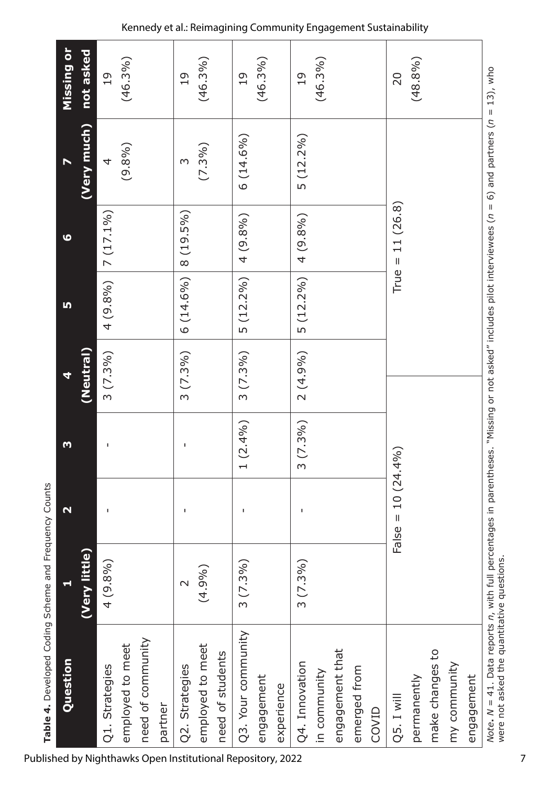| Question                                                                                                                                                                                                |               | $\mathbf{\mathbf{N}}$                  | m          | 4          | LŊ          | $\bullet$         |             | Missing or     |
|---------------------------------------------------------------------------------------------------------------------------------------------------------------------------------------------------------|---------------|----------------------------------------|------------|------------|-------------|-------------------|-------------|----------------|
|                                                                                                                                                                                                         | (Very little) |                                        |            | (Neutral)  |             |                   | (Very much) | not asked      |
| Q1. Strategies                                                                                                                                                                                          | 4(9.8%)       | ı                                      | ı          | $3(7.3\%)$ | 4(9.8%)     | $7(17.1\%)$       | 4           | $\overline{0}$ |
| employed to meet                                                                                                                                                                                        |               |                                        |            |            |             |                   | (9.8%)      | (46.3%)        |
| need of community                                                                                                                                                                                       |               |                                        |            |            |             |                   |             |                |
| partner                                                                                                                                                                                                 |               |                                        |            |            |             |                   |             |                |
| Q2. Strategies                                                                                                                                                                                          | $\sim$        | ı                                      | ı          | $3(7.3\%)$ | 6 (14.6%)   | 8 (19.5%)         | S           | $\overline{1}$ |
| employed to meet                                                                                                                                                                                        | (4.9%)        |                                        |            |            |             |                   | $(7.3\%)$   | (46.3%)        |
| need of students                                                                                                                                                                                        |               |                                        |            |            |             |                   |             |                |
| Q3. Your community                                                                                                                                                                                      | $3(7.3\%)$    | ı                                      | $1(2.4\%)$ | $3(7.3\%)$ | 5 (12.2%)   | 4 (9.8%)          | $6(14.6\%)$ | $\overline{1}$ |
| engagement                                                                                                                                                                                              |               |                                        |            |            |             |                   |             | (46.3%)        |
| experience                                                                                                                                                                                              |               |                                        |            |            |             |                   |             |                |
| Q4. Innovation                                                                                                                                                                                          | $3(7.3\%)$    |                                        | $3(7.3\%)$ | 2 (4.9%)   | $5(12.2\%)$ | 4 (9.8%)          | $5(12.2\%)$ | $\overline{0}$ |
| in community                                                                                                                                                                                            |               |                                        |            |            |             |                   |             | (46.3%)        |
| engagement that                                                                                                                                                                                         |               |                                        |            |            |             |                   |             |                |
| emerged from                                                                                                                                                                                            |               |                                        |            |            |             |                   |             |                |
| COVID                                                                                                                                                                                                   |               |                                        |            |            |             |                   |             |                |
| Q5. I will                                                                                                                                                                                              |               | $10(24.4\%)$<br>$\mathbf{II}$<br>False |            |            |             | True = $11(26.8)$ |             | 20             |
| permanently                                                                                                                                                                                             |               |                                        |            |            |             |                   |             | (48.8%)        |
| make changes to                                                                                                                                                                                         |               |                                        |            |            |             |                   |             |                |
| my community                                                                                                                                                                                            |               |                                        |            |            |             |                   |             |                |
| engagement                                                                                                                                                                                              |               |                                        |            |            |             |                   |             |                |
| Note. N = 41. Data reports n, with full percentages in parentheses. "Missing or not asked" includes pilot interviewees (n = 6) and partners (n = 13), who<br>were not asked the quantitative questions. |               |                                        |            |            |             |                   |             |                |

Published by Nighthawks Open Institutional Repository, 2022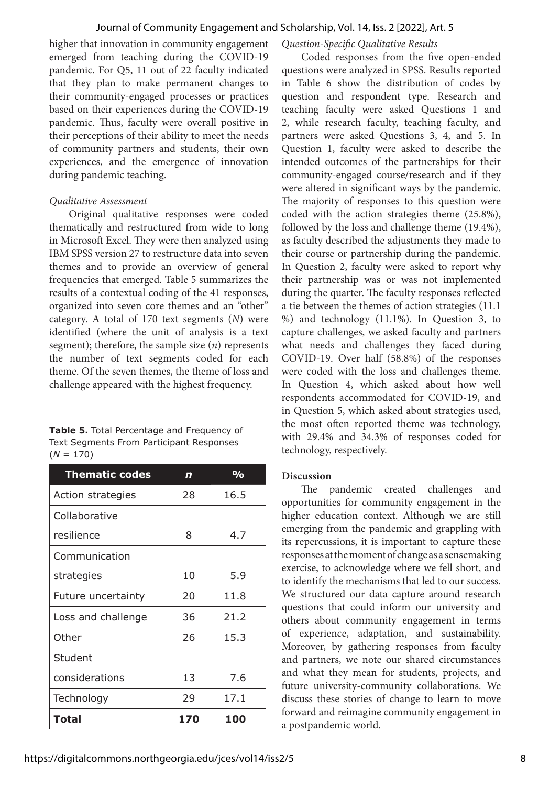higher that innovation in community engagement emerged from teaching during the COVID-19 pandemic. For Q5, 11 out of 22 faculty indicated that they plan to make permanent changes to their community-engaged processes or practices based on their experiences during the COVID-19 pandemic. Thus, faculty were overall positive in their perceptions of their ability to meet the needs of community partners and students, their own experiences, and the emergence of innovation during pandemic teaching.

## *Qualitative Assessment*

Original qualitative responses were coded thematically and restructured from wide to long in Microsoft Excel. They were then analyzed using IBM SPSS version 27 to restructure data into seven themes and to provide an overview of general frequencies that emerged. Table 5 summarizes the results of a contextual coding of the 41 responses, organized into seven core themes and an "other" category. A total of 170 text segments (*N*) were identified (where the unit of analysis is a text segment); therefore, the sample size (*n*) represents the number of text segments coded for each theme. Of the seven themes, the theme of loss and challenge appeared with the highest frequency.

| Table 5. Total Percentage and Frequency of |
|--------------------------------------------|
| Text Segments From Participant Responses   |
| $(N = 170)$                                |

| <b>Thematic codes</b> | n   | %    |
|-----------------------|-----|------|
| Action strategies     | 28  | 16.5 |
| Collaborative         |     |      |
| resilience            | 8   | 4.7  |
| Communication         |     |      |
| strategies            | 10  | 5.9  |
| Future uncertainty    | 20  | 11.8 |
| Loss and challenge    | 36  | 21.2 |
| Other                 | 26  | 15.3 |
| Student               |     |      |
| considerations        | 13  | 7.6  |
| Technology            | 29  | 17.1 |
| Total                 | 170 | 100  |

### *Question-Specific Qualitative Results*

Coded responses from the five open-ended questions were analyzed in SPSS. Results reported in Table 6 show the distribution of codes by question and respondent type. Research and teaching faculty were asked Questions 1 and 2, while research faculty, teaching faculty, and partners were asked Questions 3, 4, and 5. In Question 1, faculty were asked to describe the intended outcomes of the partnerships for their community-engaged course/research and if they were altered in significant ways by the pandemic. The majority of responses to this question were coded with the action strategies theme (25.8%), followed by the loss and challenge theme (19.4%), as faculty described the adjustments they made to their course or partnership during the pandemic. In Question 2, faculty were asked to report why their partnership was or was not implemented during the quarter. The faculty responses reflected a tie between the themes of action strategies (11.1 %) and technology (11.1%). In Question 3, to capture challenges, we asked faculty and partners what needs and challenges they faced during COVID-19. Over half (58.8%) of the responses were coded with the loss and challenges theme. In Question 4, which asked about how well respondents accommodated for COVID-19, and in Question 5, which asked about strategies used, the most often reported theme was technology, with 29.4% and 34.3% of responses coded for technology, respectively.

#### **Discussion**

The pandemic created challenges and opportunities for community engagement in the higher education context. Although we are still emerging from the pandemic and grappling with its repercussions, it is important to capture these responses at the moment of change as a sensemaking exercise, to acknowledge where we fell short, and to identify the mechanisms that led to our success. We structured our data capture around research questions that could inform our university and others about community engagement in terms of experience, adaptation, and sustainability. Moreover, by gathering responses from faculty and partners, we note our shared circumstances and what they mean for students, projects, and future university-community collaborations. We discuss these stories of change to learn to move forward and reimagine community engagement in a postpandemic world.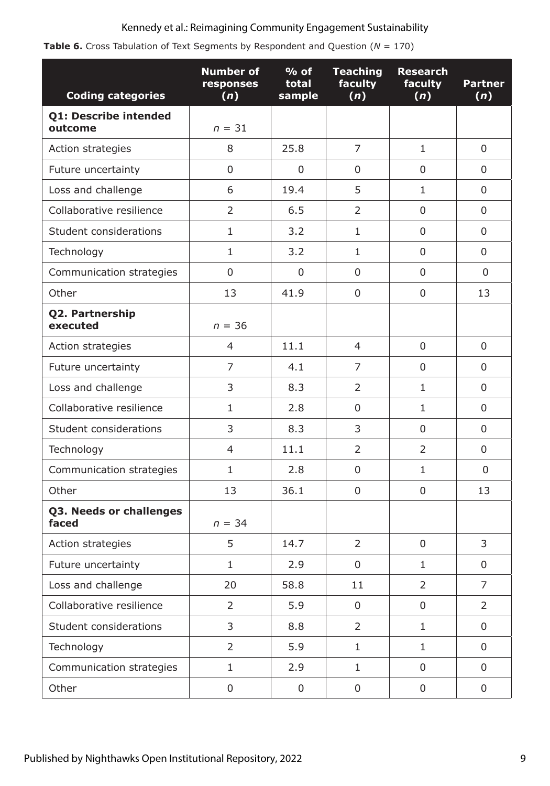|  |  |  | <b>Table 6.</b> Cross Tabulation of Text Segments by Respondent and Question ( $N = 170$ ) |  |  |
|--|--|--|--------------------------------------------------------------------------------------------|--|--|
|  |  |  |                                                                                            |  |  |

| <b>Coding categories</b>         | <b>Number of</b><br>responses<br>(n) | $%$ of<br>total<br>sample | <b>Teaching</b><br>faculty<br>(n) | <b>Research</b><br>faculty<br>(n) | <b>Partner</b><br>(n) |
|----------------------------------|--------------------------------------|---------------------------|-----------------------------------|-----------------------------------|-----------------------|
| Q1: Describe intended<br>outcome | $n = 31$                             |                           |                                   |                                   |                       |
| Action strategies                | 8                                    | 25.8                      | $\overline{7}$                    | $\mathbf{1}$                      | $\Omega$              |
| Future uncertainty               | 0                                    | 0                         | 0                                 | 0                                 | 0                     |
| Loss and challenge               | 6                                    | 19.4                      | 5                                 | $\mathbf{1}$                      | 0                     |
| Collaborative resilience         | $\overline{2}$                       | 6.5                       | 2                                 | 0                                 | 0                     |
| Student considerations           | $\mathbf{1}$                         | 3.2                       | $\mathbf{1}$                      | $\mathbf{0}$                      | 0                     |
| Technology                       | $\mathbf{1}$                         | 3.2                       | $\mathbf{1}$                      | $\Omega$                          | 0                     |
| Communication strategies         | 0                                    | $\mathbf 0$               | 0                                 | $\mathbf 0$                       | 0                     |
| Other                            | 13                                   | 41.9                      | 0                                 | $\mathbf 0$                       | 13                    |
| Q2. Partnership<br>executed      | $n = 36$                             |                           |                                   |                                   |                       |
| Action strategies                | $\overline{4}$                       | 11.1                      | 4                                 | $\mathbf 0$                       | 0                     |
| Future uncertainty               | 7                                    | 4.1                       | 7                                 | 0                                 | 0                     |
| Loss and challenge               | 3                                    | 8.3                       | 2                                 | $\mathbf{1}$                      | 0                     |
| Collaborative resilience         | $\mathbf{1}$                         | 2.8                       | 0                                 | $\mathbf{1}$                      | $\Omega$              |
| Student considerations           | 3                                    | 8.3                       | 3                                 | 0                                 | 0                     |
| Technology                       | $\overline{4}$                       | 11.1                      | 2                                 | $\overline{2}$                    | 0                     |
| Communication strategies         | $\mathbf{1}$                         | 2.8                       | 0                                 | $\mathbf{1}$                      | $\mathbf{0}$          |
| Other                            | 13                                   | 36.1                      | 0                                 | 0                                 | 13                    |
| Q3. Needs or challenges<br>faced | $n = 34$                             |                           |                                   |                                   |                       |
| Action strategies                | 5                                    | 14.7                      | 2                                 | 0                                 | 3                     |
| Future uncertainty               | $\mathbf{1}$                         | 2.9                       | $\mathbf 0$                       | $\mathbf{1}$                      | 0                     |
| Loss and challenge               | 20                                   | 58.8                      | 11                                | $\overline{2}$                    | $\overline{7}$        |
| Collaborative resilience         | $\overline{2}$                       | 5.9                       | $\boldsymbol{0}$                  | 0                                 | $\overline{2}$        |
| Student considerations           | 3                                    | 8.8                       | $\overline{2}$                    | $\mathbf{1}$                      | $\mathsf{O}\xspace$   |
| Technology                       | $\overline{2}$                       | 5.9                       | $\mathbf{1}$                      | $\mathbf{1}$                      | 0                     |
| Communication strategies         | $\mathbf{1}$                         | 2.9                       | $\mathbf{1}$                      | $\mathbf 0$                       | $\mathbf 0$           |
| Other                            | 0                                    | $\boldsymbol{0}$          | $\pmb{0}$                         | 0                                 | 0                     |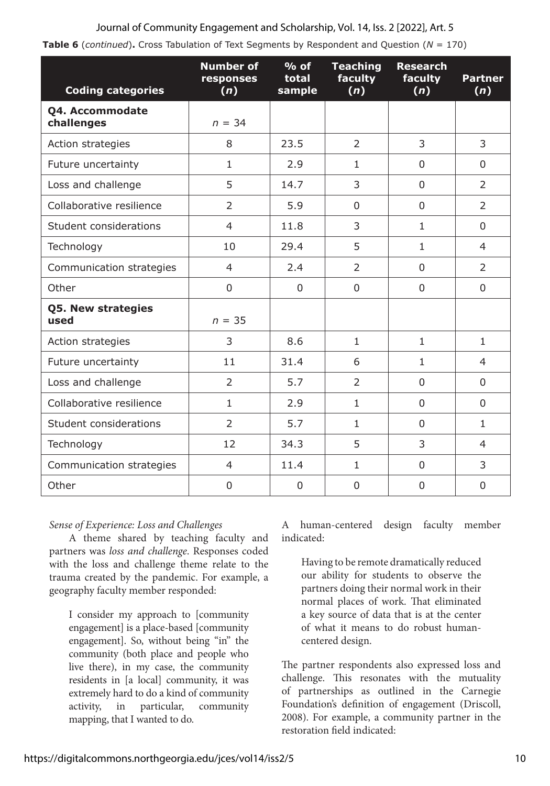| Table 6 (continued). Cross Tabulation of Text Segments by Respondent and Question (N = 170) |  |  |  |  |  |  |  |
|---------------------------------------------------------------------------------------------|--|--|--|--|--|--|--|
|---------------------------------------------------------------------------------------------|--|--|--|--|--|--|--|

| <b>Coding categories</b>      | <b>Number of</b><br>responses<br>(n) | $%$ of<br>total<br>sample | <b>Teaching</b><br>faculty<br>(n) | <b>Research</b><br>faculty<br>(n) | <b>Partner</b><br>(n) |
|-------------------------------|--------------------------------------|---------------------------|-----------------------------------|-----------------------------------|-----------------------|
| Q4. Accommodate<br>challenges | $n = 34$                             |                           |                                   |                                   |                       |
| Action strategies             | 8                                    | 23.5                      | $\overline{2}$                    | 3                                 | 3                     |
| Future uncertainty            | $\mathbf{1}$                         | 2.9                       | $\mathbf{1}$                      | $\Omega$                          | $\Omega$              |
| Loss and challenge            | 5                                    | 14.7                      | 3                                 | $\Omega$                          | 2                     |
| Collaborative resilience      | $\overline{2}$                       | 5.9                       | $\Omega$                          | $\Omega$                          | $\mathcal{P}$         |
| Student considerations        | 4                                    | 11.8                      | 3                                 | $\mathbf{1}$                      | $\Omega$              |
| Technology                    | 10                                   | 29.4                      | 5                                 | $\mathbf{1}$                      | $\overline{4}$        |
| Communication strategies      | $\overline{4}$                       | 2.4                       | $\overline{2}$                    | $\Omega$                          | $\overline{2}$        |
| Other                         | 0                                    | $\Omega$                  | 0                                 | 0                                 | $\Omega$              |
| Q5. New strategies<br>used    | $n = 35$                             |                           |                                   |                                   |                       |
| Action strategies             | 3                                    | 8.6                       | $\mathbf{1}$                      | $\mathbf{1}$                      | $\mathbf{1}$          |
| Future uncertainty            | 11                                   | 31.4                      | 6                                 | $\mathbf{1}$                      | $\overline{4}$        |
| Loss and challenge            | $\overline{2}$                       | 5.7                       | $\overline{2}$                    | $\Omega$                          | $\Omega$              |
| Collaborative resilience      | $\mathbf{1}$                         | 2.9                       | $\mathbf{1}$                      | $\Omega$                          | $\Omega$              |
| Student considerations        | $\overline{2}$                       | 5.7                       | $\mathbf{1}$                      | $\Omega$                          | $\mathbf{1}$          |
| Technology                    | 12                                   | 34.3                      | 5                                 | 3                                 | 4                     |
| Communication strategies      | $\overline{4}$                       | 11.4                      | $\mathbf{1}$                      | $\Omega$                          | 3                     |
| Other                         | 0                                    | 0                         | $\Omega$                          | $\Omega$                          | $\Omega$              |

## *Sense of Experience: Loss and Challenges*

A theme shared by teaching faculty and partners was *loss and challenge*. Responses coded with the loss and challenge theme relate to the trauma created by the pandemic. For example, a geography faculty member responded:

I consider my approach to [community engagement] is a place-based [community engagement]. So, without being "in" the community (both place and people who live there), in my case, the community residents in [a local] community, it was extremely hard to do a kind of community activity, in particular, community mapping, that I wanted to do.

A human-centered design faculty member indicated:

Having to be remote dramatically reduced our ability for students to observe the partners doing their normal work in their normal places of work. That eliminated a key source of data that is at the center of what it means to do robust humancentered design.

The partner respondents also expressed loss and challenge. This resonates with the mutuality of partnerships as outlined in the Carnegie Foundation's definition of engagement (Driscoll, 2008). For example, a community partner in the restoration field indicated: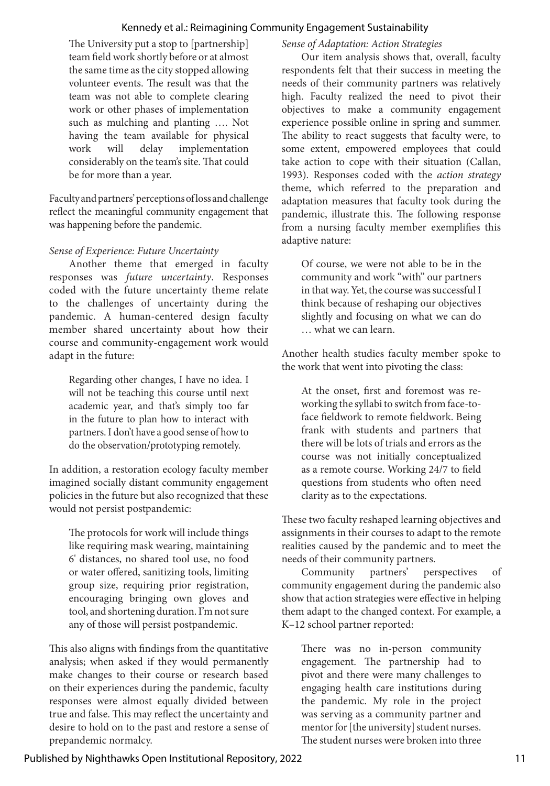The University put a stop to [partnership] team field work shortly before or at almost the same time as the city stopped allowing volunteer events. The result was that the team was not able to complete clearing work or other phases of implementation such as mulching and planting …. Not having the team available for physical work will delay implementation considerably on the team's site. That could be for more than a year.

Faculty and partners' perceptions of loss and challenge reflect the meaningful community engagement that was happening before the pandemic.

## *Sense of Experience: Future Uncertainty*

Another theme that emerged in faculty responses was *future uncertainty*. Responses coded with the future uncertainty theme relate to the challenges of uncertainty during the pandemic. A human-centered design faculty member shared uncertainty about how their course and community-engagement work would adapt in the future:

Regarding other changes, I have no idea. I will not be teaching this course until next academic year, and that's simply too far in the future to plan how to interact with partners. I don't have a good sense of how to do the observation/prototyping remotely.

In addition, a restoration ecology faculty member imagined socially distant community engagement policies in the future but also recognized that these would not persist postpandemic:

The protocols for work will include things like requiring mask wearing, maintaining 6' distances, no shared tool use, no food or water offered, sanitizing tools, limiting group size, requiring prior registration, encouraging bringing own gloves and tool, and shortening duration. I'm not sure any of those will persist postpandemic.

This also aligns with findings from the quantitative analysis; when asked if they would permanently make changes to their course or research based on their experiences during the pandemic, faculty responses were almost equally divided between true and false. This may reflect the uncertainty and desire to hold on to the past and restore a sense of prepandemic normalcy.

## *Sense of Adaptation: Action Strategies*

Our item analysis shows that, overall, faculty respondents felt that their success in meeting the needs of their community partners was relatively high. Faculty realized the need to pivot their objectives to make a community engagement experience possible online in spring and summer. The ability to react suggests that faculty were, to some extent, empowered employees that could take action to cope with their situation (Callan, 1993). Responses coded with the *action strategy* theme, which referred to the preparation and adaptation measures that faculty took during the pandemic, illustrate this. The following response from a nursing faculty member exemplifies this adaptive nature:

Of course, we were not able to be in the community and work "with" our partners in that way. Yet, the course was successful I think because of reshaping our objectives slightly and focusing on what we can do … what we can learn.

Another health studies faculty member spoke to the work that went into pivoting the class:

At the onset, first and foremost was reworking the syllabi to switch from face-toface fieldwork to remote fieldwork. Being frank with students and partners that there will be lots of trials and errors as the course was not initially conceptualized as a remote course. Working 24/7 to field questions from students who often need clarity as to the expectations.

These two faculty reshaped learning objectives and assignments in their courses to adapt to the remote realities caused by the pandemic and to meet the needs of their community partners.

Community partners' perspectives of community engagement during the pandemic also show that action strategies were effective in helping them adapt to the changed context. For example, a K–12 school partner reported:

There was no in-person community engagement. The partnership had to pivot and there were many challenges to engaging health care institutions during the pandemic. My role in the project was serving as a community partner and mentor for [the university] student nurses. The student nurses were broken into three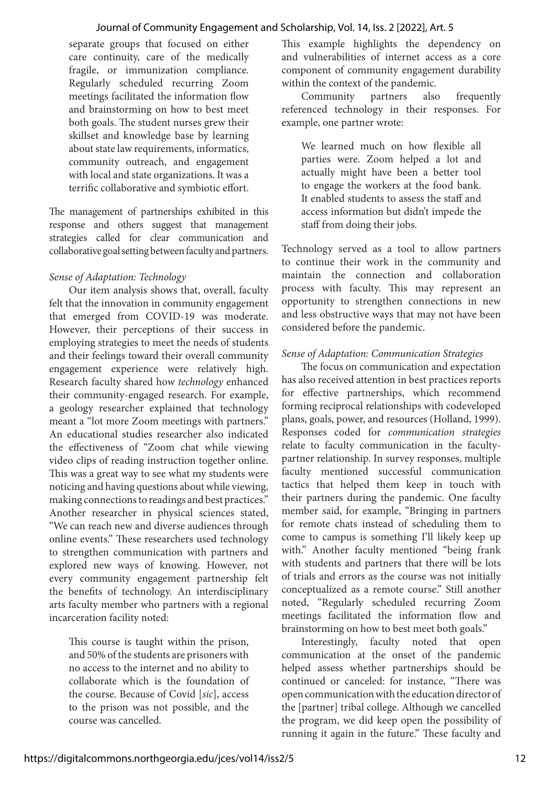separate groups that focused on either care continuity, care of the medically fragile, or immunization compliance. Regularly scheduled recurring Zoom meetings facilitated the information flow and brainstorming on how to best meet both goals. The student nurses grew their skillset and knowledge base by learning about state law requirements, informatics, community outreach, and engagement with local and state organizations. It was a terrific collaborative and symbiotic effort.

The management of partnerships exhibited in this response and others suggest that management strategies called for clear communication and collaborative goal setting between faculty and partners.

## *Sense of Adaptation: Technology*

Our item analysis shows that, overall, faculty felt that the innovation in community engagement that emerged from COVID-19 was moderate. However, their perceptions of their success in employing strategies to meet the needs of students and their feelings toward their overall community engagement experience were relatively high. Research faculty shared how *technology* enhanced their community-engaged research. For example, a geology researcher explained that technology meant a "lot more Zoom meetings with partners." An educational studies researcher also indicated the effectiveness of "Zoom chat while viewing video clips of reading instruction together online. This was a great way to see what my students were noticing and having questions about while viewing, making connections to readings and best practices." Another researcher in physical sciences stated, "We can reach new and diverse audiences through online events." These researchers used technology to strengthen communication with partners and explored new ways of knowing. However, not every community engagement partnership felt the benefits of technology. An interdisciplinary arts faculty member who partners with a regional incarceration facility noted:

This course is taught within the prison, and 50% of the students are prisoners with no access to the internet and no ability to collaborate which is the foundation of the course. Because of Covid [*sic*], access to the prison was not possible, and the course was cancelled.

This example highlights the dependency on and vulnerabilities of internet access as a core component of community engagement durability within the context of the pandemic.

Community partners also frequently referenced technology in their responses. For example, one partner wrote:

We learned much on how flexible all parties were. Zoom helped a lot and actually might have been a better tool to engage the workers at the food bank. It enabled students to assess the staff and access information but didn't impede the staff from doing their jobs.

Technology served as a tool to allow partners to continue their work in the community and maintain the connection and collaboration process with faculty. This may represent an opportunity to strengthen connections in new and less obstructive ways that may not have been considered before the pandemic.

## *Sense of Adaptation: Communication Strategies*

The focus on communication and expectation has also received attention in best practices reports for effective partnerships, which recommend forming reciprocal relationships with codeveloped plans, goals, power, and resources (Holland, 1999). Responses coded for *communication strategies* relate to faculty communication in the facultypartner relationship. In survey responses, multiple faculty mentioned successful communication tactics that helped them keep in touch with their partners during the pandemic. One faculty member said, for example, "Bringing in partners for remote chats instead of scheduling them to come to campus is something I'll likely keep up with." Another faculty mentioned "being frank with students and partners that there will be lots of trials and errors as the course was not initially conceptualized as a remote course." Still another noted, "Regularly scheduled recurring Zoom meetings facilitated the information flow and brainstorming on how to best meet both goals."

Interestingly, faculty noted that open communication at the onset of the pandemic helped assess whether partnerships should be continued or canceled: for instance, "There was open communication with the education director of the [partner] tribal college. Although we cancelled the program, we did keep open the possibility of running it again in the future." These faculty and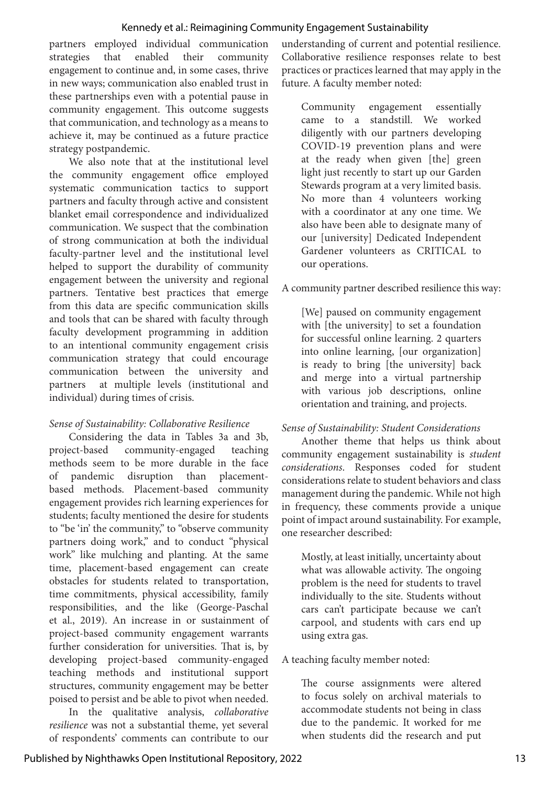partners employed individual communication strategies that enabled their community engagement to continue and, in some cases, thrive in new ways; communication also enabled trust in these partnerships even with a potential pause in community engagement. This outcome suggests that communication, and technology as a means to achieve it, may be continued as a future practice strategy postpandemic.

We also note that at the institutional level the community engagement office employed systematic communication tactics to support partners and faculty through active and consistent blanket email correspondence and individualized communication. We suspect that the combination of strong communication at both the individual faculty-partner level and the institutional level helped to support the durability of community engagement between the university and regional partners. Tentative best practices that emerge from this data are specific communication skills and tools that can be shared with faculty through faculty development programming in addition to an intentional community engagement crisis communication strategy that could encourage communication between the university and partners at multiple levels (institutional and individual) during times of crisis.

## *Sense of Sustainability: Collaborative Resilience*

Considering the data in Tables 3a and 3b, project-based community-engaged teaching methods seem to be more durable in the face of pandemic disruption than placementbased methods. Placement-based community engagement provides rich learning experiences for students; faculty mentioned the desire for students to "be 'in' the community," to "observe community partners doing work," and to conduct "physical work" like mulching and planting. At the same time, placement-based engagement can create obstacles for students related to transportation, time commitments, physical accessibility, family responsibilities, and the like (George-Paschal et al., 2019). An increase in or sustainment of project-based community engagement warrants further consideration for universities. That is, by developing project-based community-engaged teaching methods and institutional support structures, community engagement may be better poised to persist and be able to pivot when needed.

In the qualitative analysis, *collaborative resilience* was not a substantial theme, yet several of respondents' comments can contribute to our

understanding of current and potential resilience. Collaborative resilience responses relate to best practices or practices learned that may apply in the future. A faculty member noted:

Community engagement essentially came to a standstill. We worked diligently with our partners developing COVID-19 prevention plans and were at the ready when given [the] green light just recently to start up our Garden Stewards program at a very limited basis. No more than 4 volunteers working with a coordinator at any one time. We also have been able to designate many of our [university] Dedicated Independent Gardener volunteers as CRITICAL to our operations.

## A community partner described resilience this way:

[We] paused on community engagement with [the university] to set a foundation for successful online learning. 2 quarters into online learning, [our organization] is ready to bring [the university] back and merge into a virtual partnership with various job descriptions, online orientation and training, and projects.

## *Sense of Sustainability: Student Considerations*

Another theme that helps us think about community engagement sustainability is *student considerations*. Responses coded for student considerations relate to student behaviors and class management during the pandemic. While not high in frequency, these comments provide a unique point of impact around sustainability. For example, one researcher described:

Mostly, at least initially, uncertainty about what was allowable activity. The ongoing problem is the need for students to travel individually to the site. Students without cars can't participate because we can't carpool, and students with cars end up using extra gas.

## A teaching faculty member noted:

The course assignments were altered to focus solely on archival materials to accommodate students not being in class due to the pandemic. It worked for me when students did the research and put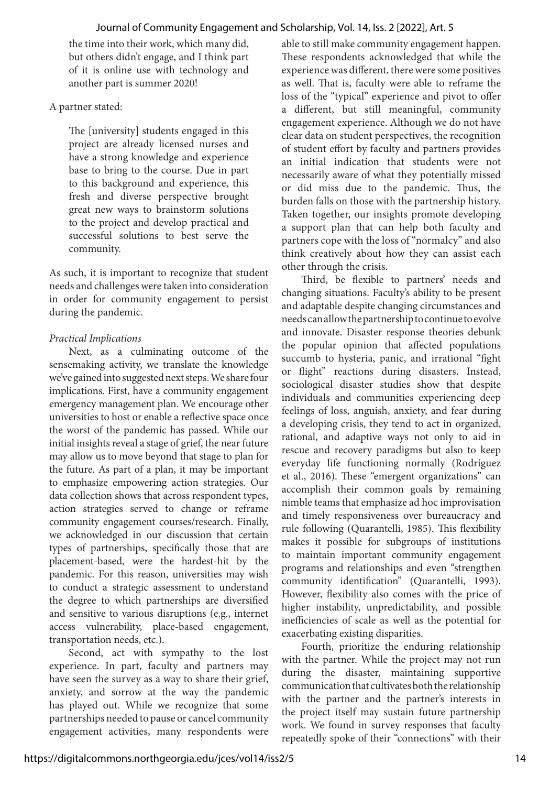the time into their work, which many did, but others didn't engage, and I think part of it is online use with technology and another part is summer 2020!

## A partner stated:

The [university] students engaged in this project are already licensed nurses and have a strong knowledge and experience base to bring to the course. Due in part to this background and experience, this fresh and diverse perspective brought great new ways to brainstorm solutions to the project and develop practical and successful solutions to best serve the community.

As such, it is important to recognize that student needs and challenges were taken into consideration in order for community engagement to persist during the pandemic.

## *Practical Implications*

Next, as a culminating outcome of the sensemaking activity, we translate the knowledge we've gained into suggested next steps. We share four implications. First, have a community engagement emergency management plan. We encourage other universities to host or enable a reflective space once the worst of the pandemic has passed. While our initial insights reveal a stage of grief, the near future may allow us to move beyond that stage to plan for the future. As part of a plan, it may be important to emphasize empowering action strategies. Our data collection shows that across respondent types, action strategies served to change or reframe community engagement courses/research. Finally, we acknowledged in our discussion that certain types of partnerships, specifically those that are placement-based, were the hardest-hit by the pandemic. For this reason, universities may wish to conduct a strategic assessment to understand the degree to which partnerships are diversified and sensitive to various disruptions (e.g., internet access vulnerability, place-based engagement, transportation needs, etc.).

Second, act with sympathy to the lost experience. In part, faculty and partners may have seen the survey as a way to share their grief, anxiety, and sorrow at the way the pandemic has played out. While we recognize that some partnerships needed to pause or cancel community engagement activities, many respondents were

able to still make community engagement happen. These respondents acknowledged that while the experience was different, there were some positives as well. That is, faculty were able to reframe the loss of the "typical" experience and pivot to offer a different, but still meaningful, community engagement experience. Although we do not have clear data on student perspectives, the recognition of student effort by faculty and partners provides an initial indication that students were not necessarily aware of what they potentially missed or did miss due to the pandemic. Thus, the burden falls on those with the partnership history. Taken together, our insights promote developing a support plan that can help both faculty and partners cope with the loss of "normalcy" and also think creatively about how they can assist each other through the crisis.

Third, be flexible to partners' needs and changing situations. Faculty's ability to be present and adaptable despite changing circumstances and needs can allow the partnership to continue to evolve and innovate. Disaster response theories debunk the popular opinion that affected populations succumb to hysteria, panic, and irrational "fight or flight" reactions during disasters. Instead, sociological disaster studies show that despite individuals and communities experiencing deep feelings of loss, anguish, anxiety, and fear during a developing crisis, they tend to act in organized, rational, and adaptive ways not only to aid in rescue and recovery paradigms but also to keep everyday life functioning normally (Rodríguez et al., 2016). These "emergent organizations" can accomplish their common goals by remaining nimble teams that emphasize ad hoc improvisation and timely responsiveness over bureaucracy and rule following (Quarantelli, 1985). This flexibility makes it possible for subgroups of institutions to maintain important community engagement programs and relationships and even "strengthen community identification" (Quarantelli, 1993). However, flexibility also comes with the price of higher instability, unpredictability, and possible inefficiencies of scale as well as the potential for exacerbating existing disparities.

Fourth, prioritize the enduring relationship with the partner. While the project may not run during the disaster, maintaining supportive communication that cultivates both the relationship with the partner and the partner's interests in the project itself may sustain future partnership work. We found in survey responses that faculty repeatedly spoke of their "connections" with their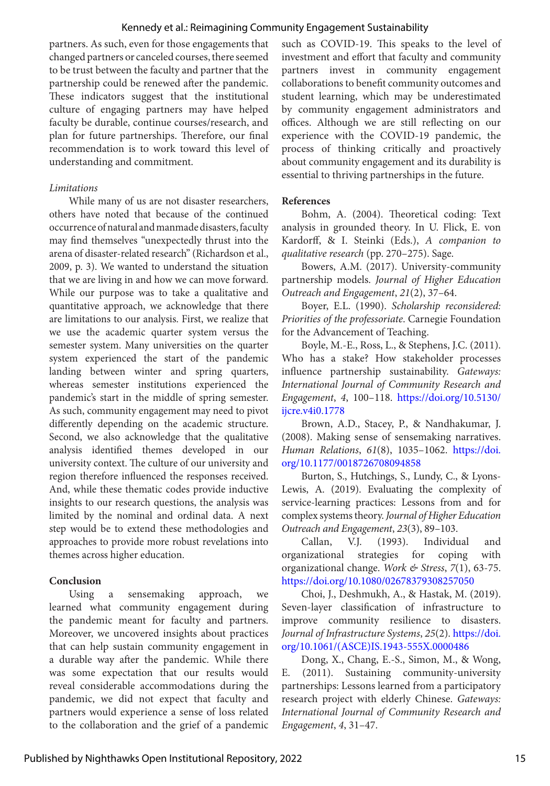partners. As such, even for those engagements that changed partners or canceled courses, there seemed to be trust between the faculty and partner that the partnership could be renewed after the pandemic. These indicators suggest that the institutional culture of engaging partners may have helped faculty be durable, continue courses/research, and plan for future partnerships. Therefore, our final recommendation is to work toward this level of understanding and commitment.

#### *Limitations*

While many of us are not disaster researchers, others have noted that because of the continued occurrence of natural and manmade disasters, faculty may find themselves "unexpectedly thrust into the arena of disaster-related research" (Richardson et al., 2009, p. 3). We wanted to understand the situation that we are living in and how we can move forward. While our purpose was to take a qualitative and quantitative approach, we acknowledge that there are limitations to our analysis. First, we realize that we use the academic quarter system versus the semester system. Many universities on the quarter system experienced the start of the pandemic landing between winter and spring quarters, whereas semester institutions experienced the pandemic's start in the middle of spring semester. As such, community engagement may need to pivot differently depending on the academic structure. Second, we also acknowledge that the qualitative analysis identified themes developed in our university context. The culture of our university and region therefore influenced the responses received. And, while these thematic codes provide inductive insights to our research questions, the analysis was limited by the nominal and ordinal data. A next step would be to extend these methodologies and approaches to provide more robust revelations into themes across higher education.

#### **Conclusion**

Using a sensemaking approach, we learned what community engagement during the pandemic meant for faculty and partners. Moreover, we uncovered insights about practices that can help sustain community engagement in a durable way after the pandemic. While there was some expectation that our results would reveal considerable accommodations during the pandemic, we did not expect that faculty and partners would experience a sense of loss related to the collaboration and the grief of a pandemic such as COVID-19. This speaks to the level of investment and effort that faculty and community partners invest in community engagement collaborations to benefit community outcomes and student learning, which may be underestimated by community engagement administrators and offices. Although we are still reflecting on our experience with the COVID-19 pandemic, the process of thinking critically and proactively about community engagement and its durability is essential to thriving partnerships in the future.

#### **References**

Bohm, A. (2004). Theoretical coding: Text analysis in grounded theory. In U. Flick, E. von Kardorff, & I. Steinki (Eds.), *A companion to qualitative research* (pp. 270–275). Sage.

Bowers, A.M. (2017). University-community partnership models. *Journal of Higher Education Outreach and Engagement*, *21*(2), 37–64.

Boyer, E.L. (1990). *Scholarship reconsidered: Priorities of the professoriate*. Carnegie Foundation for the Advancement of Teaching.

Boyle, M.-E., Ross, L., & Stephens, J.C. (2011). Who has a stake? How stakeholder processes influence partnership sustainability. *Gateways: International Journal of Community Research and Engagement*, *4*, 100–118. [https://doi.org/10.5130/](https://doi.org/10.5130/ijcre.v4i0.1778 ) [ijcre.v4i0.1778](https://doi.org/10.5130/ijcre.v4i0.1778 )

Brown, A.D., Stacey, P., & Nandhakumar, J. (2008). Making sense of sensemaking narratives. *Human Relations*, *61*(8), 1035–1062. [https://doi.](https://doi.org/10.1177/0018726708094858 ) [org/10.1177/0018726708094858](https://doi.org/10.1177/0018726708094858 )

Burton, S., Hutchings, S., Lundy, C., & Lyons-Lewis, A. (2019). Evaluating the complexity of service-learning practices: Lessons from and for complex systems theory. *Journal of Higher Education Outreach and Engagement*, *23*(3), 89–103.

Callan, V.J. (1993). Individual and organizational strategies for coping with organizational change. *Work & Stress*, *7*(1), 63-75. <https://doi.org/10.1080/02678379308257050>

Choi, J., Deshmukh, A., & Hastak, M. (2019). Seven-layer classification of infrastructure to improve community resilience todisasters. *Journal of Infrastructure Systems*, *25*(2). [https://doi.](https://doi.org/10.1061/(ASCE)IS.1943-555X.0000486 ) [org/10.1061/\(ASCE\)IS.1943-555X.0000486](https://doi.org/10.1061/(ASCE)IS.1943-555X.0000486 ) 

Dong, X., Chang, E.-S., Simon, M., & Wong, E. (2011). Sustaining community-university partnerships: Lessons learned from a participatory research project with elderly Chinese. *Gateways: International Journal of Community Research and Engagement*, *4*, 31–47.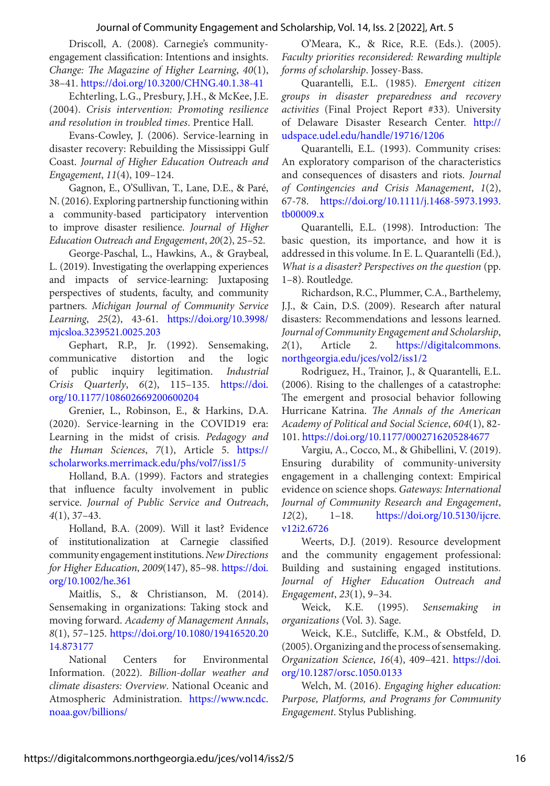Driscoll, A. (2008). Carnegie's communityengagement classification: Intentions and insights. *Change: The Magazine of Higher Learning*, *40*(1), 38–41. [https://doi.org/10.3200/CHNG.40.1.38-41](https://doi.org/10.3200/CHNG.40.1.38-41 )

Echterling, L.G., Presbury, J.H., & McKee, J.E. (2004). *Crisis intervention: Promoting resilience and resolution in troubled times*. Prentice Hall.

Evans-Cowley, J. (2006). Service-learning in disaster recovery: Rebuilding the Mississippi Gulf Coast. *Journal of Higher Education Outreach and Engagement*, *11*(4), 109–124.

Gagnon, E., O'Sullivan, T., Lane, D.E., & Paré, N. (2016). Exploring partnership functioning within a community-based participatory intervention to improve disaster resilience. *Journal of Higher Education Outreach and Engagement*, *20*(2), 25–52.

George-Paschal, L., Hawkins, A., & Graybeal, L. (2019). Investigating the overlapping experiences and impacts of service-learning: Juxtaposing perspectives of students, faculty, and community partners. *Michigan Journal of Community Service Learning*, *25*(2), 43-61. [https://doi.org/10.3998/](https://doi.org/10.3998/mjcsloa.3239521.0025.203) [mjcsloa.3239521.0025.203](https://doi.org/10.3998/mjcsloa.3239521.0025.203)

Gephart, R.P., Jr. (1992). Sensemaking, communicative distortion and the logic of public inquiry legitimation. *Industrial Crisis Quarterly*, *6*(2), 115–135. [https://doi.](https://doi.org/10.1177/108602669200600204 ) [org/10.1177/108602669200600204](https://doi.org/10.1177/108602669200600204 )

Grenier, L., Robinson, E., & Harkins, D.A. (2020). Service-learning in the COVID19 era: Learning in the midst of crisis. *Pedagogy and the Human Sciences*, *7*(1), Article 5. [https://](https://scholarworks.merrimack.edu/phs/vol7/iss1/5) [scholarworks.merrimack.edu/phs/vol7/iss1/5](https://scholarworks.merrimack.edu/phs/vol7/iss1/5)

Holland, B.A. (1999). Factors and strategies that influence faculty involvement in public service. *Journal of Public Service and Outreach*, *4*(1), 37–43.

Holland, B.A. (2009). Will it last? Evidence of institutionalization at Carnegie classified community engagement institutions. *New Directions for Higher Education*, *2009*(147), 85–98. [https://doi.](https://doi.org/10.1002/he.361) [org/10.1002/he.361](https://doi.org/10.1002/he.361)

Maitlis, S., & Christianson, M. (2014). Sensemaking in organizations: Taking stock and moving forward. *Academy of Management Annals*, *8*(1), 57–125. [https://doi.org/10.1080/19416520.20](https://doi.org/10.1080/19416520.2014.873177 ) [14.873177](https://doi.org/10.1080/19416520.2014.873177 )

National Centers for Environmental Information. (2022). *Billion-dollar weather and climate disasters: Overview*. National Oceanic and Atmospheric Administration. [https://www.ncdc.](https://www.ncdc.noaa.gov/billions/) [noaa.gov/billions/](https://www.ncdc.noaa.gov/billions/)

O'Meara, K., & Rice, R.E. (Eds.). (2005). *Faculty priorities reconsidered: Rewarding multiple forms of scholarship*. Jossey-Bass.

Quarantelli, E.L. (1985). *Emergent citizen groups in disaster preparedness and recovery activities* (Final Project Report #33)*.* University of Delaware Disaster Research Center. [http://](http://udspace.udel.edu/handle/19716/1206) [udspace.udel.edu/handle/19716/1206](http://udspace.udel.edu/handle/19716/1206)

Quarantelli, E.L. (1993). Community crises: An exploratory comparison of the characteristics and consequences of disasters and riots. *Journal of Contingencies and Crisis Management*, *1*(2), 67-78. [https://doi.org/10.1111/j.1468-5973.1993.](https://doi.org/10.1111/j.1468-5973.1993.tb00009.x) [tb00009.x](https://doi.org/10.1111/j.1468-5973.1993.tb00009.x)

Quarantelli, E.L. (1998). Introduction: The basic question, its importance, and how it is addressed in this volume. In E. L. Quarantelli (Ed.), *What is a disaster? Perspectives on the question* (pp. 1–8). Routledge.

Richardson, R.C., Plummer, C.A., Barthelemy, J.J., & Cain, D.S. (2009). Research after natural disasters: Recommendations and lessons learned. *Journal of Community Engagement and Scholarship*, *2*(1), Article 2. [https://digitalcommons.](https://digitalcommons.northgeorgia.edu/jces/vol2/iss1/2) [northgeorgia.edu/jces/vol2/iss1/2](https://digitalcommons.northgeorgia.edu/jces/vol2/iss1/2)

Rodriguez, H., Trainor, J., & Quarantelli, E.L. (2006). Rising to the challenges of a catastrophe: The emergent and prosocial behavior following Hurricane Katrina. *The Annals of the American Academy of Political and Social Science*, *604*(1), 82- 101. [https://doi.org/10.1177/0002716205284677](https://doi.org/10.1177%2F0002716205284677)

Vargiu, A., Cocco, M., & Ghibellini, V. (2019). Ensuring durability of community-university engagement in a challenging context: Empirical evidence on science shops. *Gateways: International Journal of Community Research and Engagement*, *12*(2), 1–18. [https://doi.org/10.5130/ijcre.](https://doi.org/10.5130/ijcre.v12i2.6726 ) [v12i2.6726](https://doi.org/10.5130/ijcre.v12i2.6726 )

Weerts, D.J. (2019). Resource development and the community engagement professional: Building and sustaining engaged institutions. *Journal of Higher Education Outreach and Engagement*, *23*(1), 9–34.

Weick, K.E. (1995). *Sensemaking in organizations* (Vol. 3). Sage.

Weick, K.E., Sutcliffe, K.M., & Obstfeld, D. (2005). Organizing and the process of sensemaking. *Organization Science*, *16*(4), 409–421. [https://doi.](https://doi.org/10.1287/orsc.1050.0133 ) [org/10.1287/orsc.1050.0133](https://doi.org/10.1287/orsc.1050.0133 )

Welch, M. (2016). *Engaging higher education: Purpose, Platforms, and Programs for Community Engagement*. Stylus Publishing.